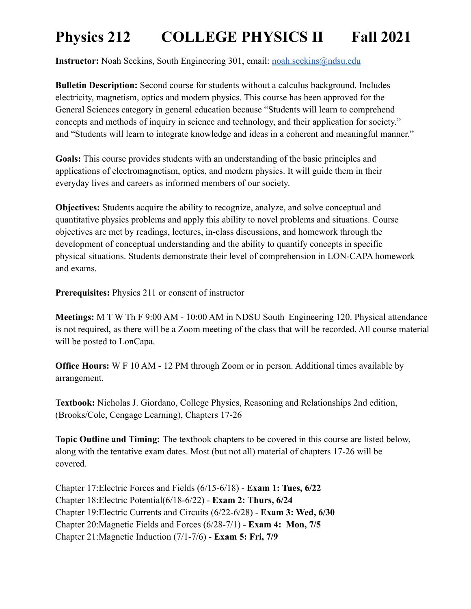**Instructor:** Noah Seekins, South Engineering 301, email: [noah.seekins@ndsu.edu](mailto:noah.seekins@ndsu.edu)

**Bulletin Description:** Second course for students without a calculus background. Includes electricity, magnetism, optics and modern physics. This course has been approved for the General Sciences category in general education because "Students will learn to comprehend concepts and methods of inquiry in science and technology, and their application for society." and "Students will learn to integrate knowledge and ideas in a coherent and meaningful manner."

**Goals:** This course provides students with an understanding of the basic principles and applications of electromagnetism, optics, and modern physics. It will guide them in their everyday lives and careers as informed members of our society.

**Objectives:** Students acquire the ability to recognize, analyze, and solve conceptual and quantitative physics problems and apply this ability to novel problems and situations. Course objectives are met by readings, lectures, in-class discussions, and homework through the development of conceptual understanding and the ability to quantify concepts in specific physical situations. Students demonstrate their level of comprehension in LON-CAPA homework and exams.

**Prerequisites:** Physics 211 or consent of instructor

**Meetings:** M T W Th F 9:00 AM - 10:00 AM in NDSU South Engineering 120. Physical attendance is not required, as there will be a Zoom meeting of the class that will be recorded. All course material will be posted to LonCapa.

**Office Hours:** W F 10 AM - 12 PM through Zoom or in person. Additional times available by arrangement.

**Textbook:** Nicholas J. Giordano, College Physics, Reasoning and Relationships 2nd edition, (Brooks/Cole, Cengage Learning), Chapters 17-26

**Topic Outline and Timing:** The textbook chapters to be covered in this course are listed below, along with the tentative exam dates. Most (but not all) material of chapters 17-26 will be covered.

Chapter 17:Electric Forces and Fields (6/15-6/18) - **Exam 1: Tues, 6/22** Chapter 18:Electric Potential(6/18-6/22) - **Exam 2: Thurs, 6/24** Chapter 19:Electric Currents and Circuits (6/22-6/28) - **Exam 3: Wed, 6/30** Chapter 20:Magnetic Fields and Forces (6/28-7/1) - **Exam 4: Mon, 7/5** Chapter 21:Magnetic Induction (7/1-7/6) - **Exam 5: Fri, 7/9**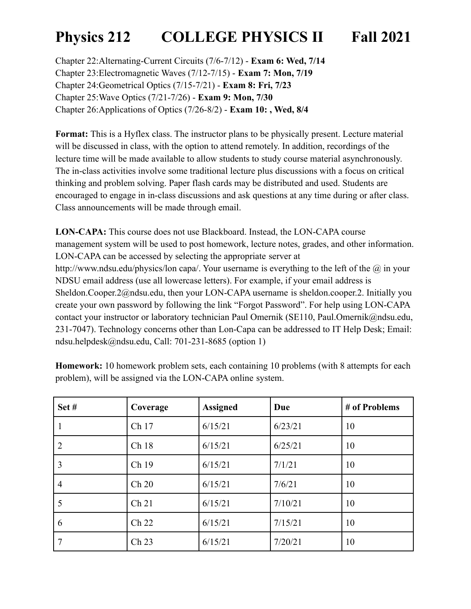Chapter 22:Alternating-Current Circuits (7/6-7/12) - **Exam 6: Wed, 7/14** Chapter 23:Electromagnetic Waves (7/12-7/15) - **Exam 7: Mon, 7/19** Chapter 24:Geometrical Optics (7/15-7/21) - **Exam 8: Fri, 7/23** Chapter 25:Wave Optics (7/21-7/26) - **Exam 9: Mon, 7/30** Chapter 26:Applications of Optics (7/26-8/2) - **Exam 10: , Wed, 8/4**

**Format:** This is a Hyflex class. The instructor plans to be physically present. Lecture material will be discussed in class, with the option to attend remotely. In addition, recordings of the lecture time will be made available to allow students to study course material asynchronously. The in-class activities involve some traditional lecture plus discussions with a focus on critical thinking and problem solving. Paper flash cards may be distributed and used. Students are encouraged to engage in in-class discussions and ask questions at any time during or after class. Class announcements will be made through email.

**LON-CAPA:** This course does not use Blackboard. Instead, the LON-CAPA course management system will be used to post homework, lecture notes, grades, and other information. LON-CAPA can be accessed by selecting the appropriate server at http://www.ndsu.edu/physics/lon capa/. Your username is everything to the left of the  $\omega$  in your NDSU email address (use all lowercase letters). For example, if your email address is Sheldon.Cooper.2@ndsu.edu, then your LON-CAPA username is sheldon.cooper.2. Initially you create your own password by following the link "Forgot Password". For help using LON-CAPA contact your instructor or laboratory technician Paul Omernik (SE110, Paul.Omernik@ndsu.edu, 231-7047). Technology concerns other than Lon-Capa can be addressed to IT Help Desk; Email: ndsu.helpdesk@ndsu.edu, Call: 701-231-8685 (option 1)

| Set#           | Coverage         | <b>Assigned</b> | Due     | # of Problems |
|----------------|------------------|-----------------|---------|---------------|
|                | Ch 17            | 6/15/21         | 6/23/21 | 10            |
| $\overline{2}$ | Ch 18            | 6/15/21         | 6/25/21 | 10            |
| 3              | Ch 19            | 6/15/21         | 7/1/21  | 10            |
| 4              | Ch 20            | 6/15/21         | 7/6/21  | 10            |
| 5              | Ch <sub>21</sub> | 6/15/21         | 7/10/21 | 10            |
| 6              | Ch 22            | 6/15/21         | 7/15/21 | 10            |
| 7              | Ch <sub>23</sub> | 6/15/21         | 7/20/21 | 10            |

**Homework:** 10 homework problem sets, each containing 10 problems (with 8 attempts for each problem), will be assigned via the LON-CAPA online system.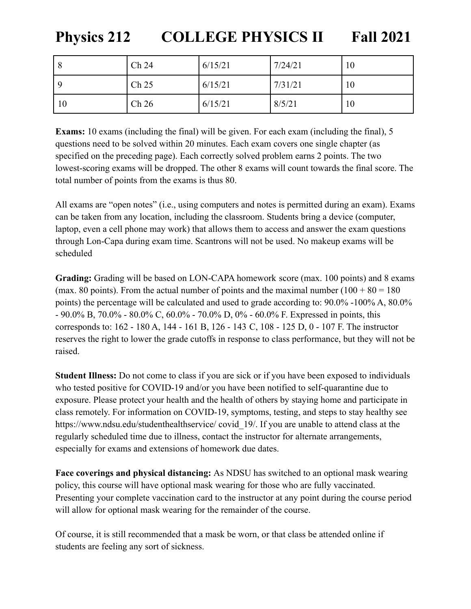| 8  | Ch 24            | 6/15/21 | 7/24/21 | 10 |
|----|------------------|---------|---------|----|
| -Q | Ch <sub>25</sub> | 6/15/21 | 7/31/21 | 10 |
| 10 | Ch <sub>26</sub> | 6/15/21 | 8/5/21  | 10 |

**Exams:** 10 exams (including the final) will be given. For each exam (including the final), 5 questions need to be solved within 20 minutes. Each exam covers one single chapter (as specified on the preceding page). Each correctly solved problem earns 2 points. The two lowest-scoring exams will be dropped. The other 8 exams will count towards the final score. The total number of points from the exams is thus 80.

All exams are "open notes" (i.e., using computers and notes is permitted during an exam). Exams can be taken from any location, including the classroom. Students bring a device (computer, laptop, even a cell phone may work) that allows them to access and answer the exam questions through Lon-Capa during exam time. Scantrons will not be used. No makeup exams will be scheduled

**Grading:** Grading will be based on LON-CAPA homework score (max. 100 points) and 8 exams (max. 80 points). From the actual number of points and the maximal number  $(100 + 80 = 180$ points) the percentage will be calculated and used to grade according to: 90.0% -100% A, 80.0% - 90.0% B, 70.0% - 80.0% C, 60.0% - 70.0% D, 0% - 60.0% F. Expressed in points, this corresponds to: 162 - 180 A, 144 - 161 B, 126 - 143 C, 108 - 125 D, 0 - 107 F. The instructor reserves the right to lower the grade cutoffs in response to class performance, but they will not be raised.

**Student Illness:** Do not come to class if you are sick or if you have been exposed to individuals who tested positive for COVID-19 and/or you have been notified to self-quarantine due to exposure. Please protect your health and the health of others by staying home and participate in class remotely. For information on COVID-19, symptoms, testing, and steps to stay healthy see https://www.ndsu.edu/studenthealthservice/ covid 19/. If you are unable to attend class at the regularly scheduled time due to illness, contact the instructor for alternate arrangements, especially for exams and extensions of homework due dates.

**Face coverings and physical distancing:** As NDSU has switched to an optional mask wearing policy, this course will have optional mask wearing for those who are fully vaccinated. Presenting your complete vaccination card to the instructor at any point during the course period will allow for optional mask wearing for the remainder of the course.

Of course, it is still recommended that a mask be worn, or that class be attended online if students are feeling any sort of sickness.